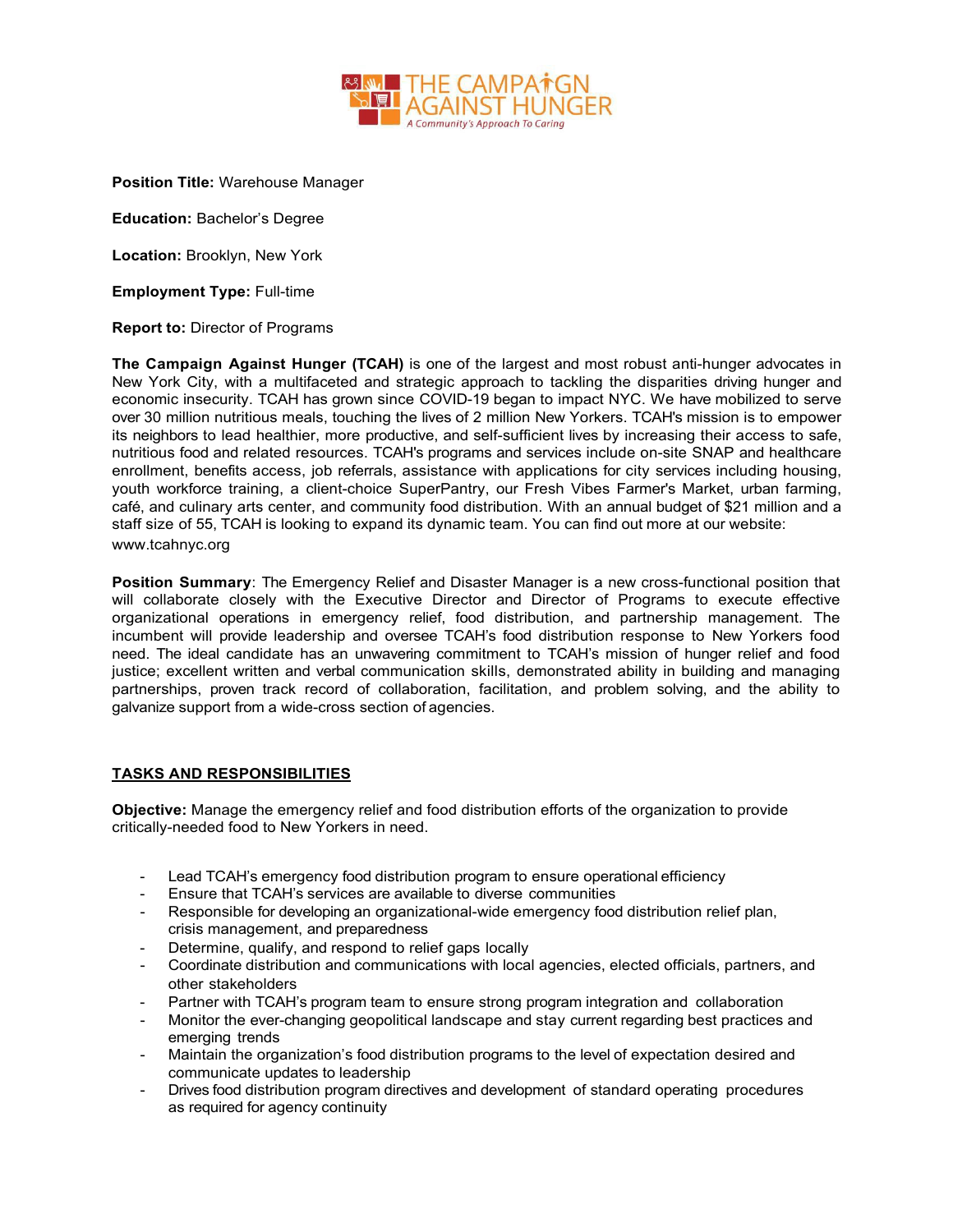

**Position Title:** Warehouse Manager

**Education:** Bachelor's Degree

**Location:** Brooklyn, New York

**Employment Type:** Full-time

## **Report to:** Director of Programs

**The Campaign Against Hunger (TCAH)** is one of the largest and most robust anti-hunger advocates in New York City, with a multifaceted and strategic approach to tackling the disparities driving hunger and economic insecurity. TCAH has grown since COVID-19 began to impact NYC. We have mobilized to serve over 30 million nutritious meals, touching the lives of 2 million New Yorkers. TCAH's mission is to empower its neighbors to lead healthier, more productive, and self-sufficient lives by increasing their access to safe, nutritious food and related resources. TCAH's programs and services include on-site SNAP and healthcare enrollment, benefits access, job referrals, assistance with applications for city services including housing, youth workforce training, a client-choice SuperPantry, our Fresh Vibes Farmer's Market, urban farming, café, and culinary arts center, and community food distribution. With an annual budget of \$21 million and a staff size of 55, TCAH is looking to expand its dynamic team. You can find out more at our website: [www.tcahnyc.org](http://www.tcahnyc.org/)

**Position Summary**: The Emergency Relief and Disaster Manager is a new cross-functional position that will collaborate closely with the Executive Director and Director of Programs to execute effective organizational operations in emergency relief, food distribution, and partnership management. The incumbent will provide leadership and oversee TCAH's food distribution response to New Yorkers food need. The ideal candidate has an unwavering commitment to TCAH's mission of hunger relief and food justice; excellent written and verbal communication skills, demonstrated ability in building and managing partnerships, proven track record of collaboration, facilitation, and problem solving, and the ability to galvanize support from a wide-cross section of agencies.

## **TASKS AND RESPONSIBILITIES**

**Objective:** Manage the emergency relief and food distribution efforts of the organization to provide critically-needed food to New Yorkers in need.

- Lead TCAH's emergency food distribution program to ensure operational efficiency
- Ensure that TCAH's services are available to diverse communities
- Responsible for developing an organizational-wide emergency food distribution relief plan, crisis management, and preparedness
- Determine, qualify, and respond to relief gaps locally
- Coordinate distribution and communications with local agencies, elected officials, partners, and other stakeholders
- Partner with TCAH's program team to ensure strong program integration and collaboration
- Monitor the ever-changing geopolitical landscape and stay current regarding best practices and emerging trends
- Maintain the organization's food distribution programs to the level of expectation desired and communicate updates to leadership
- Drives food distribution program directives and development of standard operating procedures as required for agency continuity